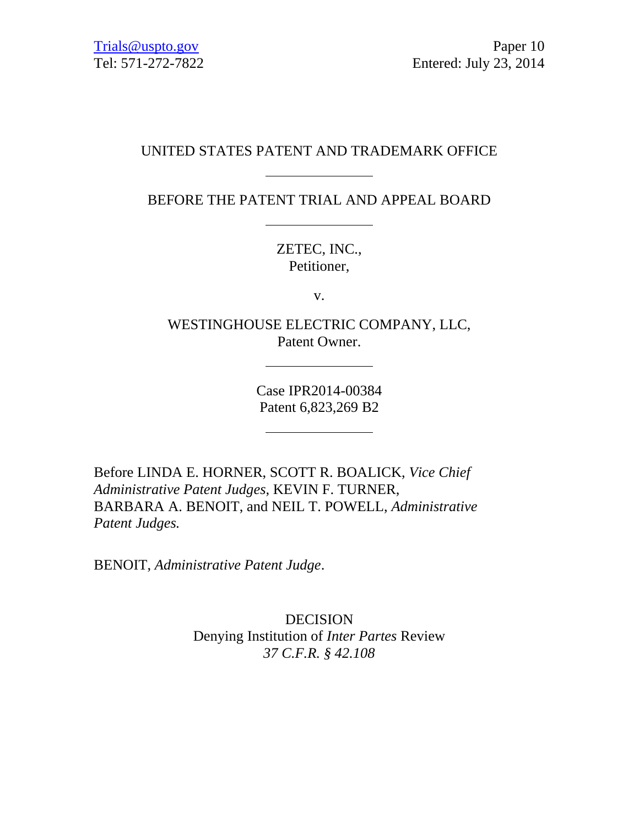# UNITED STATES PATENT AND TRADEMARK OFFICE

BEFORE THE PATENT TRIAL AND APPEAL BOARD

ZETEC, INC., Petitioner,

v.

WESTINGHOUSE ELECTRIC COMPANY, LLC, Patent Owner.

> Case IPR2014-00384 Patent 6,823,269 B2

Before LINDA E. HORNER, SCOTT R. BOALICK, *Vice Chief Administrative Patent Judges*, KEVIN F. TURNER, BARBARA A. BENOIT, and NEIL T. POWELL, *Administrative Patent Judges.*

BENOIT, *Administrative Patent Judge*.

DECISION Denying Institution of *Inter Partes* Review *37 C.F.R. § 42.108*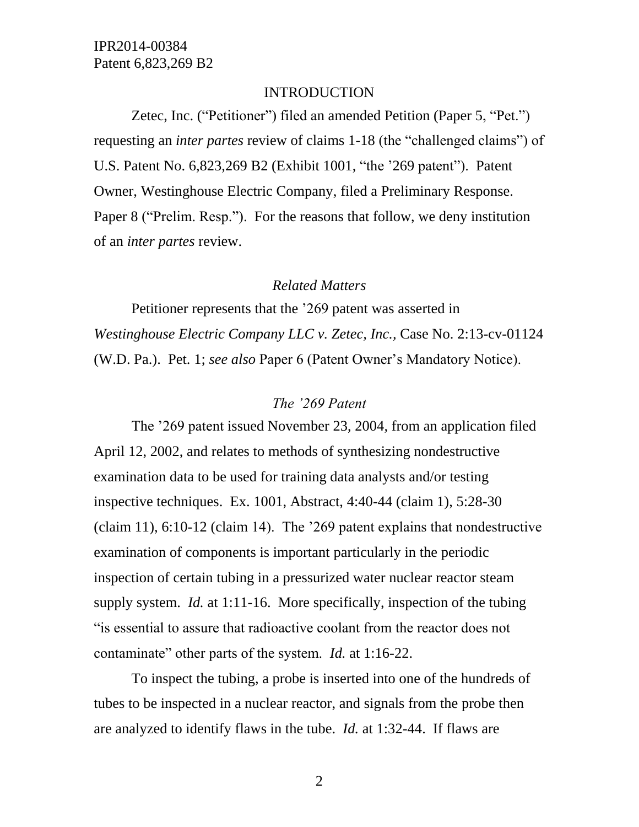#### INTRODUCTION

Zetec, Inc. ("Petitioner") filed an amended Petition (Paper 5, "Pet.") requesting an *inter partes* review of claims 1-18 (the "challenged claims") of U.S. Patent No. 6,823,269 B2 (Exhibit 1001, "the '269 patent"). Patent Owner, Westinghouse Electric Company, filed a Preliminary Response. Paper 8 ("Prelim. Resp."). For the reasons that follow, we deny institution of an *inter partes* review.

#### *Related Matters*

Petitioner represents that the '269 patent was asserted in *Westinghouse Electric Company LLC v. Zetec, Inc.,* Case No. 2:13-cv-01124 (W.D. Pa.). Pet. 1; *see also* Paper 6 (Patent Owner's Mandatory Notice).

### *The '269 Patent*

The '269 patent issued November 23, 2004, from an application filed April 12, 2002, and relates to methods of synthesizing nondestructive examination data to be used for training data analysts and/or testing inspective techniques. Ex. 1001, Abstract, 4:40-44 (claim 1), 5:28-30 (claim 11), 6:10-12 (claim 14). The '269 patent explains that nondestructive examination of components is important particularly in the periodic inspection of certain tubing in a pressurized water nuclear reactor steam supply system. *Id.* at 1:11-16. More specifically, inspection of the tubing "is essential to assure that radioactive coolant from the reactor does not contaminate" other parts of the system. *Id.* at 1:16-22.

To inspect the tubing, a probe is inserted into one of the hundreds of tubes to be inspected in a nuclear reactor, and signals from the probe then are analyzed to identify flaws in the tube. *Id.* at 1:32-44. If flaws are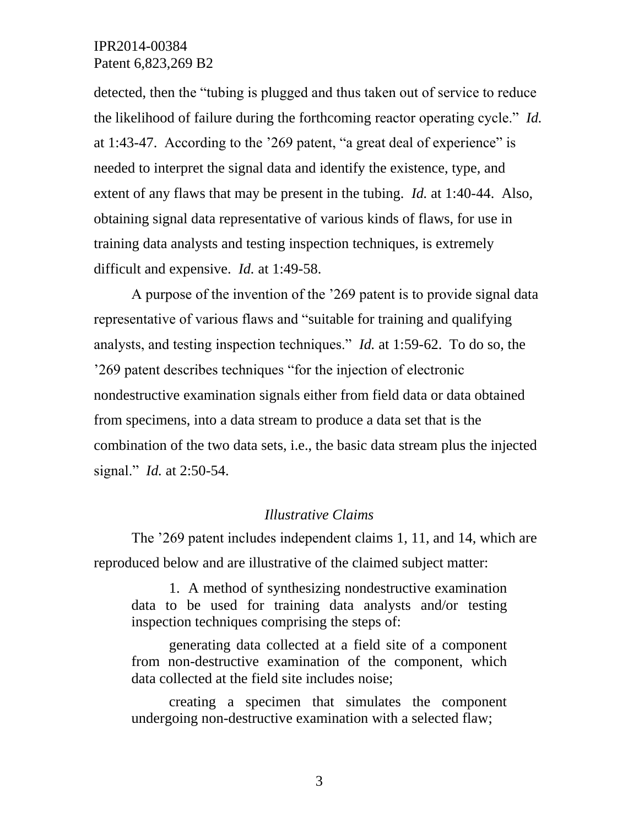detected, then the "tubing is plugged and thus taken out of service to reduce the likelihood of failure during the forthcoming reactor operating cycle." *Id.* at 1:43-47. According to the '269 patent, "a great deal of experience" is needed to interpret the signal data and identify the existence, type, and extent of any flaws that may be present in the tubing. *Id.* at 1:40-44. Also, obtaining signal data representative of various kinds of flaws, for use in training data analysts and testing inspection techniques, is extremely difficult and expensive. *Id.* at 1:49-58.

A purpose of the invention of the '269 patent is to provide signal data representative of various flaws and "suitable for training and qualifying analysts, and testing inspection techniques." *Id.* at 1:59-62. To do so, the '269 patent describes techniques "for the injection of electronic nondestructive examination signals either from field data or data obtained from specimens, into a data stream to produce a data set that is the combination of the two data sets, i.e., the basic data stream plus the injected signal." *Id.* at 2:50-54.

### *Illustrative Claims*

The '269 patent includes independent claims 1, 11, and 14, which are reproduced below and are illustrative of the claimed subject matter:

1. A method of synthesizing nondestructive examination data to be used for training data analysts and/or testing inspection techniques comprising the steps of:

generating data collected at a field site of a component from non-destructive examination of the component, which data collected at the field site includes noise;

creating a specimen that simulates the component undergoing non-destructive examination with a selected flaw;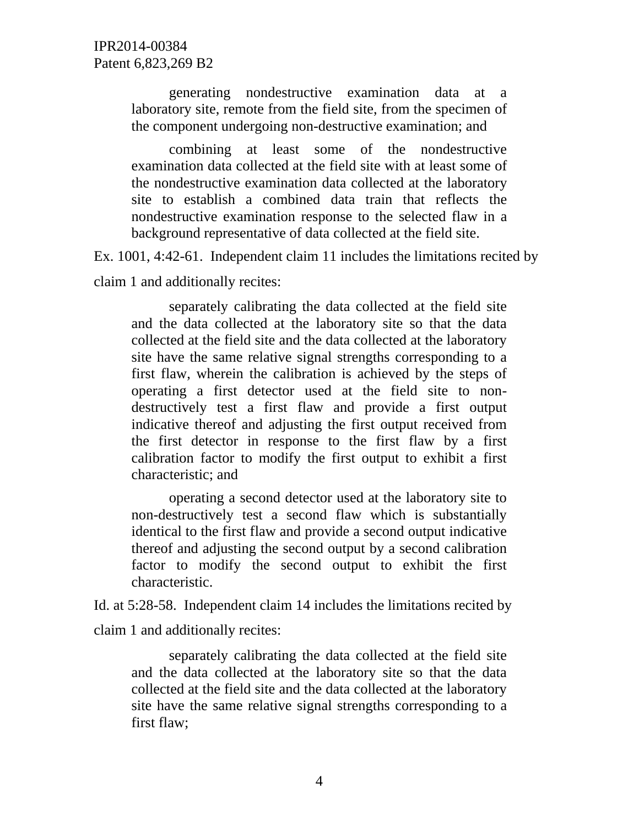generating nondestructive examination data at a laboratory site, remote from the field site, from the specimen of the component undergoing non-destructive examination; and

combining at least some of the nondestructive examination data collected at the field site with at least some of the nondestructive examination data collected at the laboratory site to establish a combined data train that reflects the nondestructive examination response to the selected flaw in a background representative of data collected at the field site.

Ex. 1001, 4:42-61. Independent claim 11 includes the limitations recited by

claim 1 and additionally recites:

separately calibrating the data collected at the field site and the data collected at the laboratory site so that the data collected at the field site and the data collected at the laboratory site have the same relative signal strengths corresponding to a first flaw, wherein the calibration is achieved by the steps of operating a first detector used at the field site to nondestructively test a first flaw and provide a first output indicative thereof and adjusting the first output received from the first detector in response to the first flaw by a first calibration factor to modify the first output to exhibit a first characteristic; and

operating a second detector used at the laboratory site to non-destructively test a second flaw which is substantially identical to the first flaw and provide a second output indicative thereof and adjusting the second output by a second calibration factor to modify the second output to exhibit the first characteristic.

Id. at 5:28-58. Independent claim 14 includes the limitations recited by claim 1 and additionally recites:

separately calibrating the data collected at the field site and the data collected at the laboratory site so that the data collected at the field site and the data collected at the laboratory site have the same relative signal strengths corresponding to a first flaw;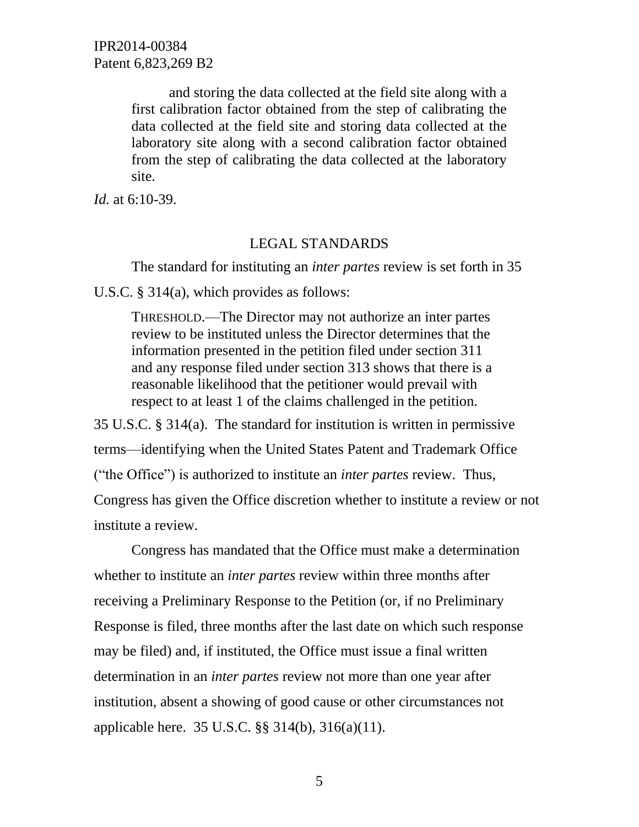> and storing the data collected at the field site along with a first calibration factor obtained from the step of calibrating the data collected at the field site and storing data collected at the laboratory site along with a second calibration factor obtained from the step of calibrating the data collected at the laboratory site.

*Id.* at 6:10-39.

#### LEGAL STANDARDS

The standard for instituting an *inter partes* review is set forth in 35

U.S.C. § 314(a), which provides as follows:

THRESHOLD.—The Director may not authorize an inter partes review to be instituted unless the Director determines that the information presented in the petition filed under section 311 and any response filed under section 313 shows that there is a reasonable likelihood that the petitioner would prevail with respect to at least 1 of the claims challenged in the petition.

35 U.S.C. § 314(a). The standard for institution is written in permissive terms—identifying when the United States Patent and Trademark Office ("the Office") is authorized to institute an *inter partes* review. Thus, Congress has given the Office discretion whether to institute a review or not institute a review.

Congress has mandated that the Office must make a determination whether to institute an *inter partes* review within three months after receiving a Preliminary Response to the Petition (or, if no Preliminary Response is filed, three months after the last date on which such response may be filed) and, if instituted, the Office must issue a final written determination in an *inter partes* review not more than one year after institution, absent a showing of good cause or other circumstances not applicable here. 35 U.S.C. §§ 314(b), 316(a)(11).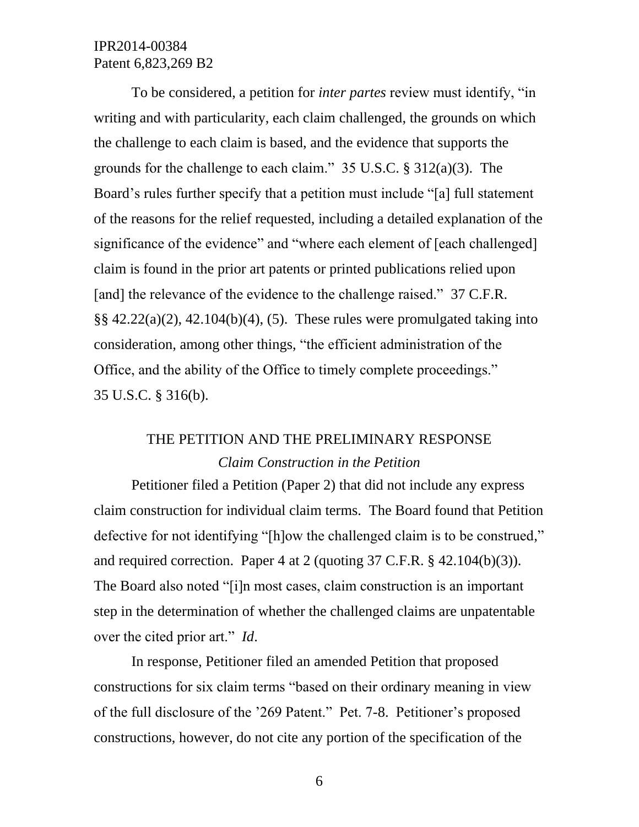To be considered, a petition for *inter partes* review must identify, "in writing and with particularity, each claim challenged, the grounds on which the challenge to each claim is based, and the evidence that supports the grounds for the challenge to each claim." 35 U.S.C. § 312(a)(3). The Board's rules further specify that a petition must include "[a] full statement of the reasons for the relief requested, including a detailed explanation of the significance of the evidence" and "where each element of [each challenged] claim is found in the prior art patents or printed publications relied upon [and] the relevance of the evidence to the challenge raised." 37 C.F.R.  $\S$ § 42.22(a)(2), 42.104(b)(4), (5). These rules were promulgated taking into consideration, among other things, "the efficient administration of the Office, and the ability of the Office to timely complete proceedings." 35 U.S.C. § 316(b).

# THE PETITION AND THE PRELIMINARY RESPONSE *Claim Construction in the Petition*

Petitioner filed a Petition (Paper 2) that did not include any express claim construction for individual claim terms. The Board found that Petition defective for not identifying "[h]ow the challenged claim is to be construed," and required correction. Paper 4 at 2 (quoting 37 C.F.R. § 42.104(b)(3)). The Board also noted "[i]n most cases, claim construction is an important step in the determination of whether the challenged claims are unpatentable over the cited prior art." *Id*.

In response, Petitioner filed an amended Petition that proposed constructions for six claim terms "based on their ordinary meaning in view of the full disclosure of the '269 Patent." Pet. 7-8. Petitioner's proposed constructions, however, do not cite any portion of the specification of the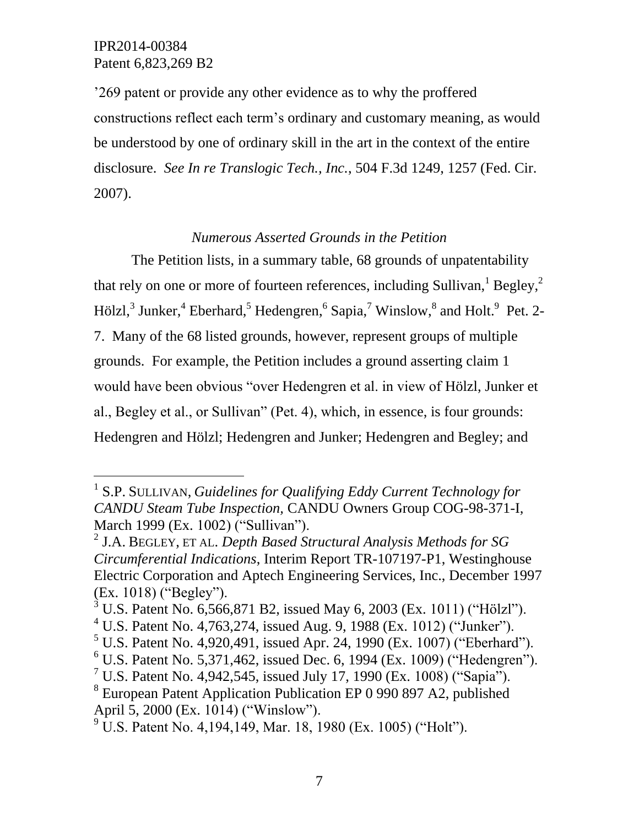l

'269 patent or provide any other evidence as to why the proffered constructions reflect each term's ordinary and customary meaning, as would be understood by one of ordinary skill in the art in the context of the entire disclosure. *See In re Translogic Tech., Inc.*, 504 F.3d 1249, 1257 (Fed. Cir. 2007).

# *Numerous Asserted Grounds in the Petition*

The Petition lists, in a summary table, 68 grounds of unpatentability that rely on one or more of fourteen references, including Sullivan,  $Begley$ ,  $2$ Hölzl,<sup>3</sup> Junker,<sup>4</sup> Eberhard,<sup>5</sup> Hedengren,<sup>6</sup> Sapia,<sup>7</sup> Winslow,<sup>8</sup> and Holt.<sup>9</sup> Pet. 2-7. Many of the 68 listed grounds, however, represent groups of multiple grounds. For example, the Petition includes a ground asserting claim 1 would have been obvious "over Hedengren et al. in view of Hölzl, Junker et al., Begley et al., or Sullivan" (Pet. 4), which, in essence, is four grounds: Hedengren and Hölzl; Hedengren and Junker; Hedengren and Begley; and

- $5$  U.S. Patent No. 4,920,491, issued Apr. 24, 1990 (Ex. 1007) ("Eberhard").
- $6$  U.S. Patent No. 5,371,462, issued Dec. 6, 1994 (Ex. 1009) ("Hedengren").

<sup>&</sup>lt;sup>1</sup> S.P. SULLIVAN, *Guidelines for Qualifying Eddy Current Technology for CANDU Steam Tube Inspection,* CANDU Owners Group COG-98-371-I, March 1999 (Ex. 1002) ("Sullivan").

<sup>2</sup> J.A. BEGLEY, ET AL. *Depth Based Structural Analysis Methods for SG Circumferential Indications*, Interim Report TR-107197-P1, Westinghouse Electric Corporation and Aptech Engineering Services, Inc., December 1997 (Ex. 1018) ("Begley").

 $3 \text{ U.S.}$  Patent No. 6,566,871 B2, issued May 6, 2003 (Ex. 1011) ("Hölzl").

<sup>&</sup>lt;sup>4</sup> U.S. Patent No. 4,763,274, issued Aug. 9, 1988 (Ex. 1012) ("Junker").

<sup>&</sup>lt;sup>7</sup> U.S. Patent No. 4,942,545, issued July 17, 1990 (Ex. 1008) ("Sapia").

<sup>&</sup>lt;sup>8</sup> European Patent Application Publication EP 0 990 897 A2, published April 5, 2000 (Ex. 1014) ("Winslow").

 $^{9}$  U.S. Patent No. 4, 194, 149, Mar. 18, 1980 (Ex. 1005) ("Holt").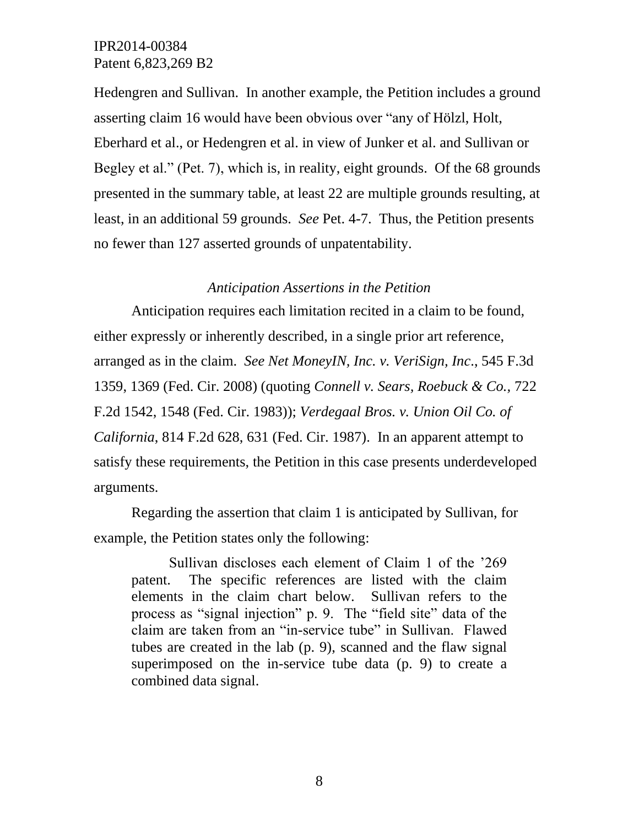Hedengren and Sullivan. In another example, the Petition includes a ground asserting claim 16 would have been obvious over "any of Hölzl, Holt, Eberhard et al., or Hedengren et al. in view of Junker et al. and Sullivan or Begley et al." (Pet. 7), which is, in reality, eight grounds. Of the 68 grounds presented in the summary table, at least 22 are multiple grounds resulting, at least, in an additional 59 grounds. *See* Pet. 4-7. Thus, the Petition presents no fewer than 127 asserted grounds of unpatentability.

#### *Anticipation Assertions in the Petition*

Anticipation requires each limitation recited in a claim to be found, either expressly or inherently described, in a single prior art reference, arranged as in the claim. *See Net MoneyIN, Inc. v. VeriSign, Inc*., 545 F.3d 1359, 1369 (Fed. Cir. 2008) (quoting *Connell v. Sears, Roebuck & Co.,* 722 F.2d 1542, 1548 (Fed. Cir. 1983)); *Verdegaal Bros. v. Union Oil Co. of California*, 814 F.2d 628, 631 (Fed. Cir. 1987). In an apparent attempt to satisfy these requirements, the Petition in this case presents underdeveloped arguments.

Regarding the assertion that claim 1 is anticipated by Sullivan, for example, the Petition states only the following:

Sullivan discloses each element of Claim 1 of the '269 patent. The specific references are listed with the claim elements in the claim chart below. Sullivan refers to the process as "signal injection" p. 9. The "field site" data of the claim are taken from an "in-service tube" in Sullivan. Flawed tubes are created in the lab (p. 9), scanned and the flaw signal superimposed on the in-service tube data (p. 9) to create a combined data signal.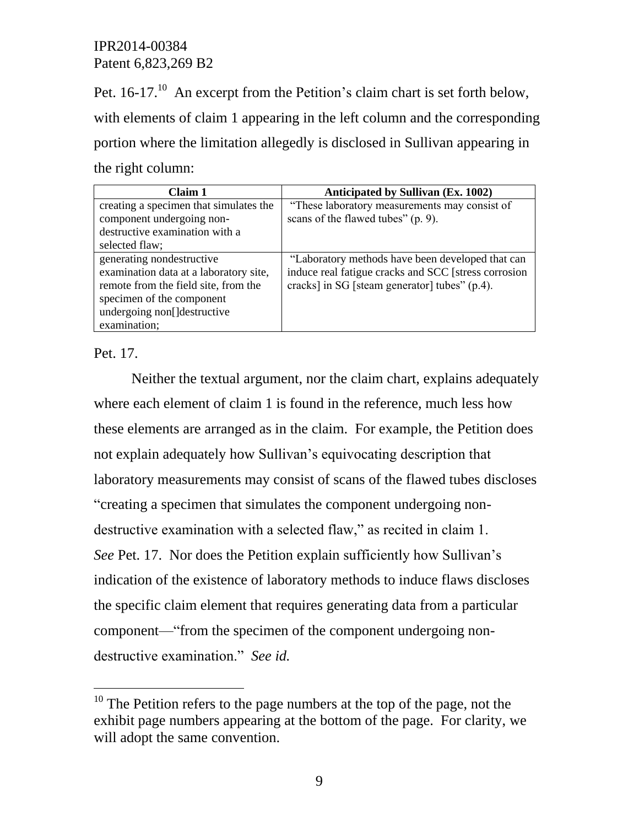Pet.  $16-17$ <sup>10</sup> An excerpt from the Petition's claim chart is set forth below, with elements of claim 1 appearing in the left column and the corresponding portion where the limitation allegedly is disclosed in Sullivan appearing in the right column:

| Claim 1                                | <b>Anticipated by Sullivan (Ex. 1002)</b>            |
|----------------------------------------|------------------------------------------------------|
| creating a specimen that simulates the | "These laboratory measurements may consist of        |
| component undergoing non-              | scans of the flawed tubes" (p. 9).                   |
| destructive examination with a         |                                                      |
| selected flaw;                         |                                                      |
| generating nondestructive              | "Laboratory methods have been developed that can     |
| examination data at a laboratory site, | induce real fatigue cracks and SCC [stress corrosion |
| remote from the field site, from the   | cracks] in SG [steam generator] tubes" (p.4).        |
| specimen of the component              |                                                      |
| undergoing non[]destructive            |                                                      |
| examination;                           |                                                      |

Pet. 17.

l

Neither the textual argument, nor the claim chart, explains adequately where each element of claim 1 is found in the reference, much less how these elements are arranged as in the claim. For example, the Petition does not explain adequately how Sullivan's equivocating description that laboratory measurements may consist of scans of the flawed tubes discloses "creating a specimen that simulates the component undergoing nondestructive examination with a selected flaw," as recited in claim 1. *See* Pet. 17. Nor does the Petition explain sufficiently how Sullivan's indication of the existence of laboratory methods to induce flaws discloses the specific claim element that requires generating data from a particular component—"from the specimen of the component undergoing nondestructive examination." *See id.*

 $10$  The Petition refers to the page numbers at the top of the page, not the exhibit page numbers appearing at the bottom of the page. For clarity, we will adopt the same convention.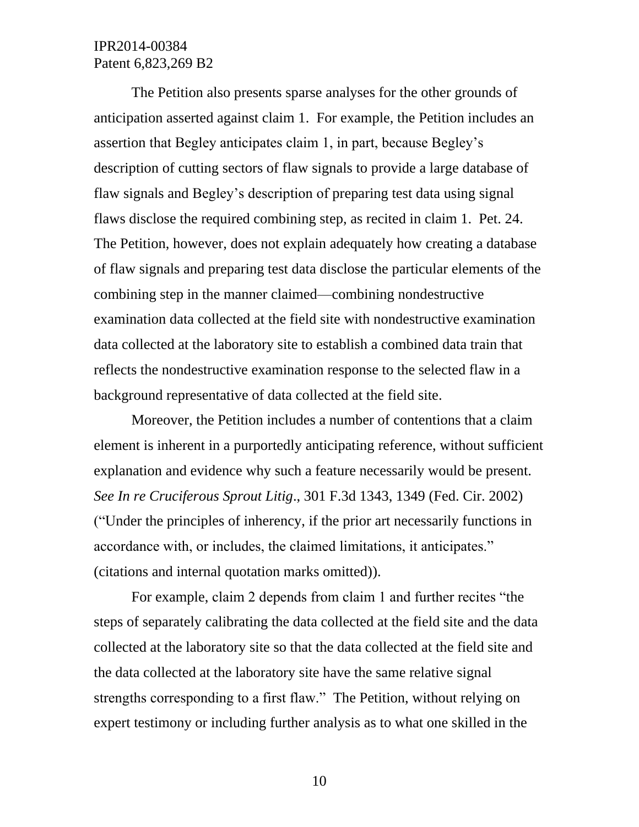The Petition also presents sparse analyses for the other grounds of anticipation asserted against claim 1. For example, the Petition includes an assertion that Begley anticipates claim 1, in part, because Begley's description of cutting sectors of flaw signals to provide a large database of flaw signals and Begley's description of preparing test data using signal flaws disclose the required combining step, as recited in claim 1. Pet. 24. The Petition, however, does not explain adequately how creating a database of flaw signals and preparing test data disclose the particular elements of the combining step in the manner claimed—combining nondestructive examination data collected at the field site with nondestructive examination data collected at the laboratory site to establish a combined data train that reflects the nondestructive examination response to the selected flaw in a background representative of data collected at the field site.

Moreover, the Petition includes a number of contentions that a claim element is inherent in a purportedly anticipating reference, without sufficient explanation and evidence why such a feature necessarily would be present. *See In re Cruciferous Sprout Litig*., 301 F.3d 1343, 1349 (Fed. Cir. 2002) ("Under the principles of inherency, if the prior art necessarily functions in accordance with, or includes, the claimed limitations, it anticipates." (citations and internal quotation marks omitted)).

For example, claim 2 depends from claim 1 and further recites "the steps of separately calibrating the data collected at the field site and the data collected at the laboratory site so that the data collected at the field site and the data collected at the laboratory site have the same relative signal strengths corresponding to a first flaw." The Petition, without relying on expert testimony or including further analysis as to what one skilled in the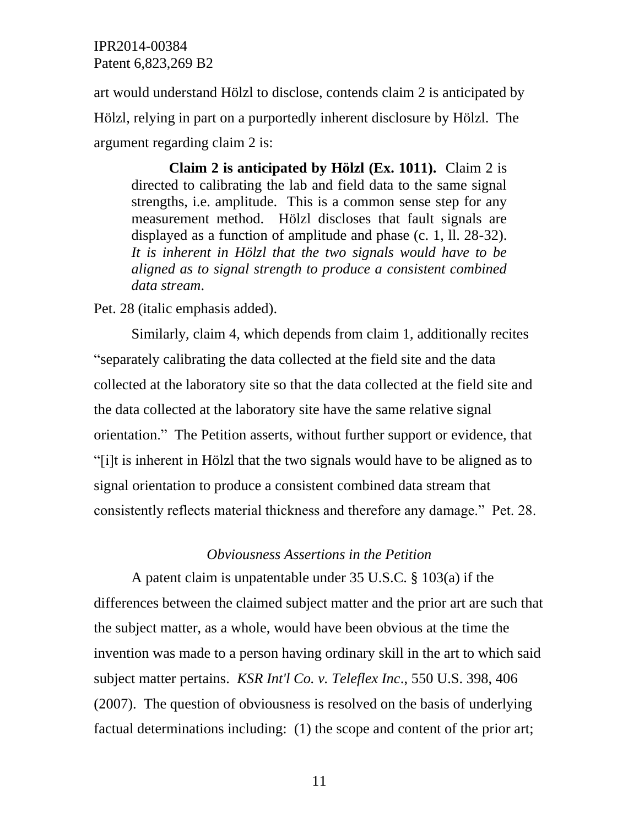art would understand Hölzl to disclose, contends claim 2 is anticipated by Hölzl, relying in part on a purportedly inherent disclosure by Hölzl. The argument regarding claim 2 is:

**Claim 2 is anticipated by Hölzl (Ex. 1011).** Claim 2 is directed to calibrating the lab and field data to the same signal strengths, i.e. amplitude. This is a common sense step for any measurement method. Hölzl discloses that fault signals are displayed as a function of amplitude and phase (c. 1, ll. 28-32). *It is inherent in Hölzl that the two signals would have to be aligned as to signal strength to produce a consistent combined data stream*.

Pet. 28 (italic emphasis added).

Similarly, claim 4, which depends from claim 1, additionally recites "separately calibrating the data collected at the field site and the data collected at the laboratory site so that the data collected at the field site and the data collected at the laboratory site have the same relative signal orientation." The Petition asserts, without further support or evidence, that "[i]t is inherent in Hölzl that the two signals would have to be aligned as to signal orientation to produce a consistent combined data stream that consistently reflects material thickness and therefore any damage." Pet. 28.

#### *Obviousness Assertions in the Petition*

A patent claim is unpatentable under 35 U.S.C. § 103(a) if the differences between the claimed subject matter and the prior art are such that the subject matter, as a whole, would have been obvious at the time the invention was made to a person having ordinary skill in the art to which said subject matter pertains. *KSR Int'l Co. v. Teleflex Inc*., 550 U.S. 398, 406 (2007). The question of obviousness is resolved on the basis of underlying factual determinations including: (1) the scope and content of the prior art;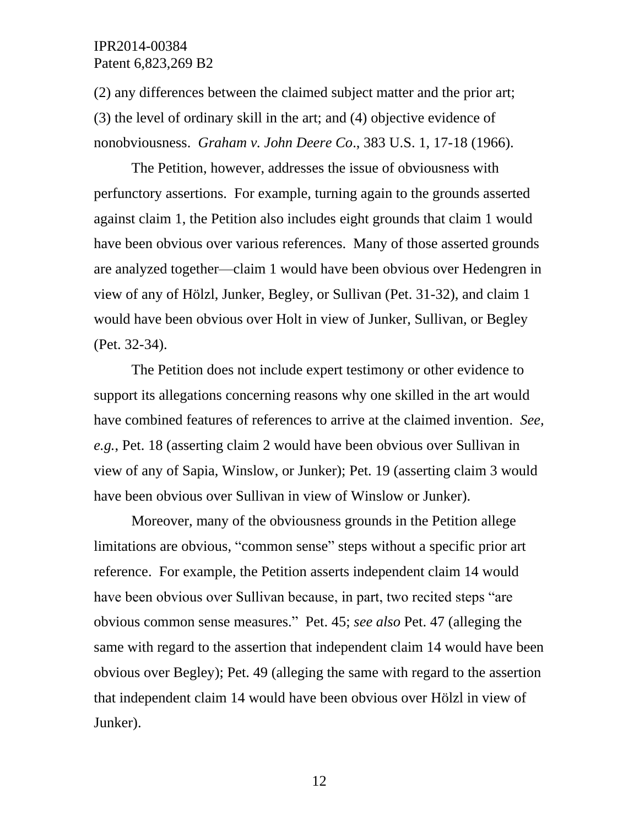(2) any differences between the claimed subject matter and the prior art; (3) the level of ordinary skill in the art; and (4) objective evidence of nonobviousness. *Graham v. John Deere Co*., 383 U.S. 1, 17-18 (1966).

The Petition, however, addresses the issue of obviousness with perfunctory assertions. For example, turning again to the grounds asserted against claim 1, the Petition also includes eight grounds that claim 1 would have been obvious over various references. Many of those asserted grounds are analyzed together—claim 1 would have been obvious over Hedengren in view of any of Hölzl, Junker, Begley, or Sullivan (Pet. 31-32), and claim 1 would have been obvious over Holt in view of Junker, Sullivan, or Begley (Pet. 32-34).

The Petition does not include expert testimony or other evidence to support its allegations concerning reasons why one skilled in the art would have combined features of references to arrive at the claimed invention. *See, e.g.*, Pet. 18 (asserting claim 2 would have been obvious over Sullivan in view of any of Sapia, Winslow, or Junker); Pet. 19 (asserting claim 3 would have been obvious over Sullivan in view of Winslow or Junker).

Moreover, many of the obviousness grounds in the Petition allege limitations are obvious, "common sense" steps without a specific prior art reference. For example, the Petition asserts independent claim 14 would have been obvious over Sullivan because, in part, two recited steps "are obvious common sense measures." Pet. 45; *see also* Pet. 47 (alleging the same with regard to the assertion that independent claim 14 would have been obvious over Begley); Pet. 49 (alleging the same with regard to the assertion that independent claim 14 would have been obvious over Hölzl in view of Junker).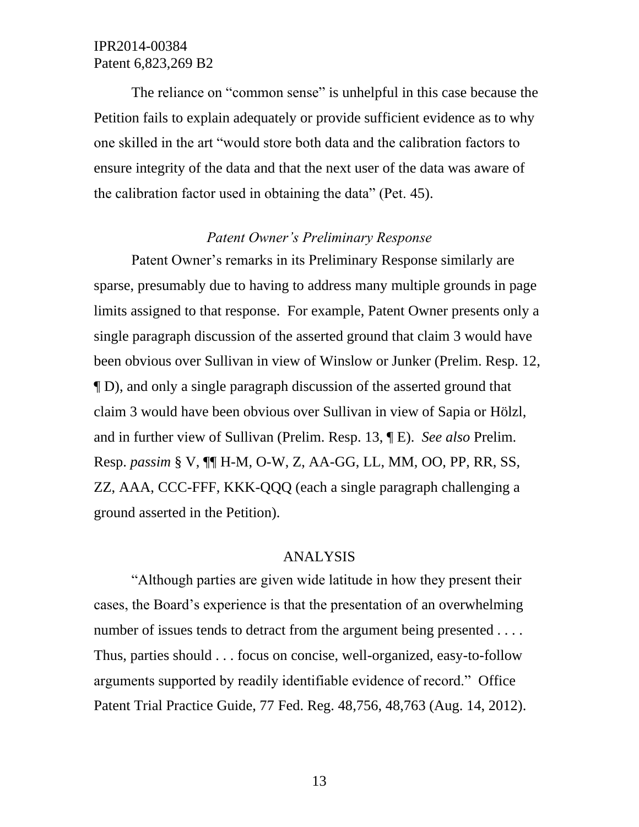The reliance on "common sense" is unhelpful in this case because the Petition fails to explain adequately or provide sufficient evidence as to why one skilled in the art "would store both data and the calibration factors to ensure integrity of the data and that the next user of the data was aware of the calibration factor used in obtaining the data" (Pet. 45).

### *Patent Owner's Preliminary Response*

Patent Owner's remarks in its Preliminary Response similarly are sparse, presumably due to having to address many multiple grounds in page limits assigned to that response. For example, Patent Owner presents only a single paragraph discussion of the asserted ground that claim 3 would have been obvious over Sullivan in view of Winslow or Junker (Prelim. Resp. 12, ¶ D), and only a single paragraph discussion of the asserted ground that claim 3 would have been obvious over Sullivan in view of Sapia or Hölzl, and in further view of Sullivan (Prelim. Resp. 13, ¶ E). *See also* Prelim. Resp. *passim* § V, ¶¶ H-M, O-W, Z, AA-GG, LL, MM, OO, PP, RR, SS, ZZ, AAA, CCC-FFF, KKK-QQQ (each a single paragraph challenging a ground asserted in the Petition).

#### ANALYSIS

"Although parties are given wide latitude in how they present their cases, the Board's experience is that the presentation of an overwhelming number of issues tends to detract from the argument being presented . . . . Thus, parties should . . . focus on concise, well-organized, easy-to-follow arguments supported by readily identifiable evidence of record." Office Patent Trial Practice Guide, 77 Fed. Reg. 48,756, 48,763 (Aug. 14, 2012).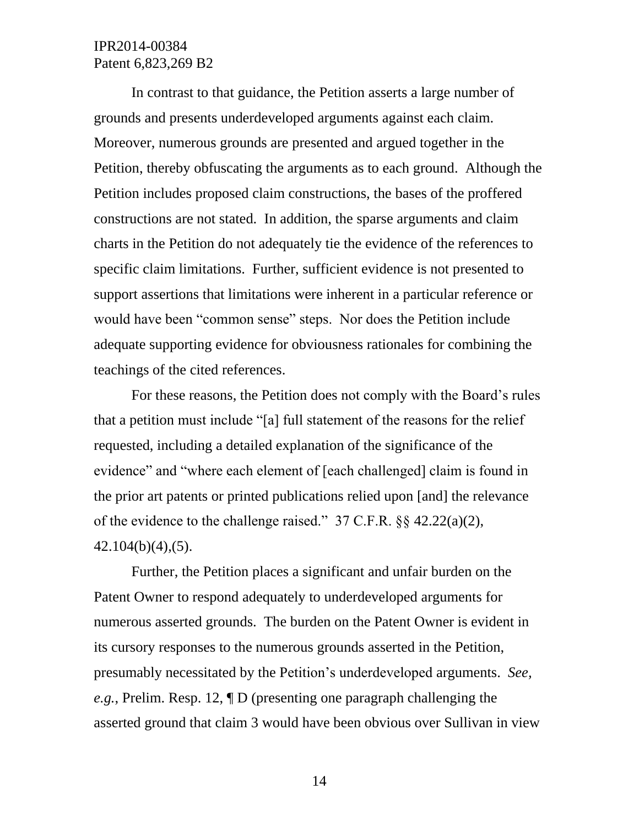In contrast to that guidance, the Petition asserts a large number of grounds and presents underdeveloped arguments against each claim. Moreover, numerous grounds are presented and argued together in the Petition, thereby obfuscating the arguments as to each ground. Although the Petition includes proposed claim constructions, the bases of the proffered constructions are not stated. In addition, the sparse arguments and claim charts in the Petition do not adequately tie the evidence of the references to specific claim limitations. Further, sufficient evidence is not presented to support assertions that limitations were inherent in a particular reference or would have been "common sense" steps. Nor does the Petition include adequate supporting evidence for obviousness rationales for combining the teachings of the cited references.

For these reasons, the Petition does not comply with the Board's rules that a petition must include "[a] full statement of the reasons for the relief requested, including a detailed explanation of the significance of the evidence" and "where each element of [each challenged] claim is found in the prior art patents or printed publications relied upon [and] the relevance of the evidence to the challenge raised." 37 C.F.R. §§ 42.22(a)(2), 42.104(b)(4),(5).

Further, the Petition places a significant and unfair burden on the Patent Owner to respond adequately to underdeveloped arguments for numerous asserted grounds. The burden on the Patent Owner is evident in its cursory responses to the numerous grounds asserted in the Petition, presumably necessitated by the Petition's underdeveloped arguments. *See, e.g.*, Prelim. Resp. 12, ¶ D (presenting one paragraph challenging the asserted ground that claim 3 would have been obvious over Sullivan in view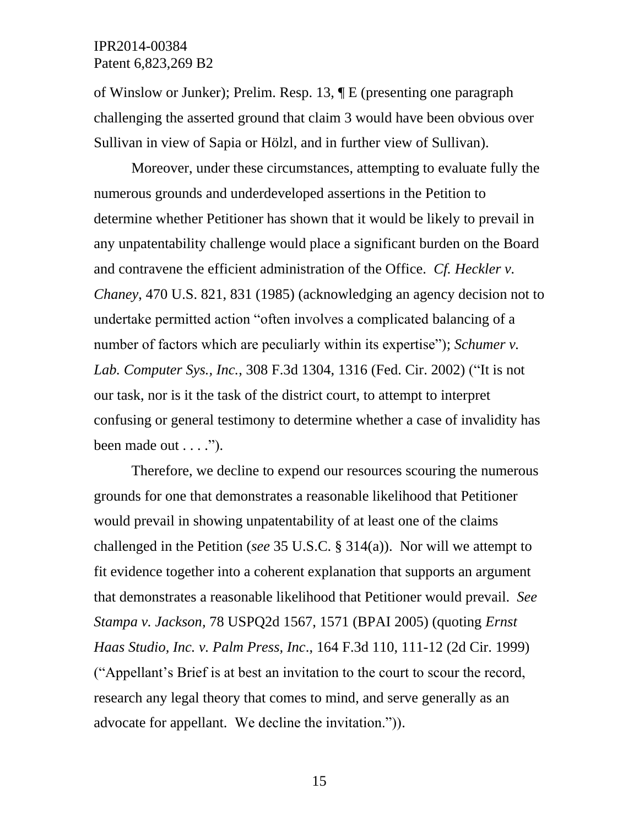of Winslow or Junker); Prelim. Resp. 13, ¶ E (presenting one paragraph challenging the asserted ground that claim 3 would have been obvious over Sullivan in view of Sapia or Hölzl, and in further view of Sullivan).

Moreover, under these circumstances, attempting to evaluate fully the numerous grounds and underdeveloped assertions in the Petition to determine whether Petitioner has shown that it would be likely to prevail in any unpatentability challenge would place a significant burden on the Board and contravene the efficient administration of the Office. *Cf. Heckler v. Chaney*, 470 U.S. 821, 831 (1985) (acknowledging an agency decision not to undertake permitted action "often involves a complicated balancing of a number of factors which are peculiarly within its expertise"); *Schumer v. Lab. Computer Sys., Inc.*, 308 F.3d 1304, 1316 (Fed. Cir. 2002) ("It is not our task, nor is it the task of the district court, to attempt to interpret confusing or general testimony to determine whether a case of invalidity has been made out  $\dots$ .").

Therefore, we decline to expend our resources scouring the numerous grounds for one that demonstrates a reasonable likelihood that Petitioner would prevail in showing unpatentability of at least one of the claims challenged in the Petition (*see* 35 U.S.C. § 314(a)). Nor will we attempt to fit evidence together into a coherent explanation that supports an argument that demonstrates a reasonable likelihood that Petitioner would prevail. *See Stampa v. Jackson,* 78 USPQ2d 1567, 1571 (BPAI 2005) (quoting *Ernst Haas Studio, Inc. v. Palm Press, Inc*., 164 F.3d 110, 111-12 (2d Cir. 1999) ("Appellant's Brief is at best an invitation to the court to scour the record, research any legal theory that comes to mind, and serve generally as an advocate for appellant. We decline the invitation.")).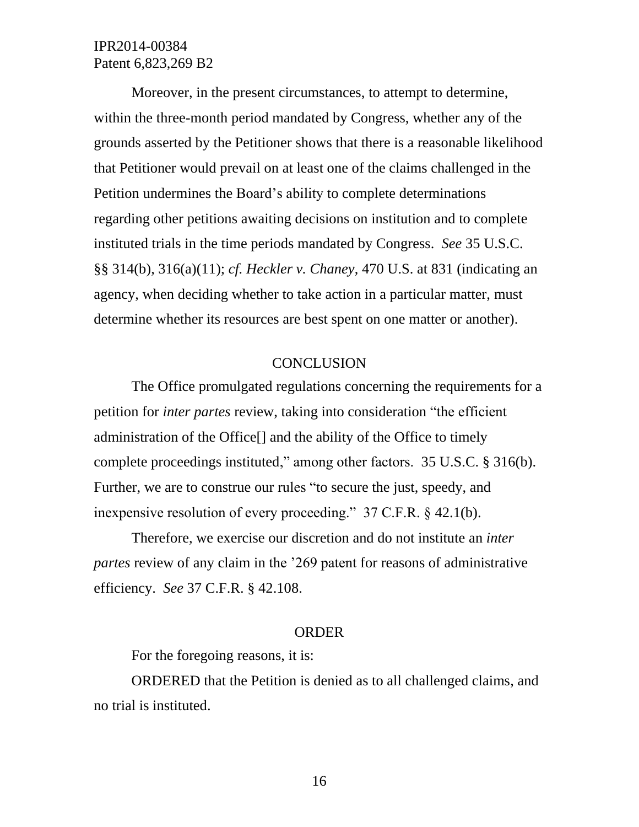Moreover, in the present circumstances, to attempt to determine, within the three-month period mandated by Congress, whether any of the grounds asserted by the Petitioner shows that there is a reasonable likelihood that Petitioner would prevail on at least one of the claims challenged in the Petition undermines the Board's ability to complete determinations regarding other petitions awaiting decisions on institution and to complete instituted trials in the time periods mandated by Congress. *See* 35 U.S.C. §§ 314(b), 316(a)(11); *cf. Heckler v. Chaney*, 470 U.S. at 831 (indicating an agency, when deciding whether to take action in a particular matter, must determine whether its resources are best spent on one matter or another).

### **CONCLUSION**

The Office promulgated regulations concerning the requirements for a petition for *inter partes* review, taking into consideration "the efficient administration of the Office[] and the ability of the Office to timely complete proceedings instituted," among other factors. 35 U.S.C. § 316(b). Further, we are to construe our rules "to secure the just, speedy, and inexpensive resolution of every proceeding." 37 C.F.R. § 42.1(b).

Therefore, we exercise our discretion and do not institute an *inter partes* review of any claim in the '269 patent for reasons of administrative efficiency. *See* 37 C.F.R. § 42.108.

#### ORDER

For the foregoing reasons, it is:

ORDERED that the Petition is denied as to all challenged claims, and no trial is instituted.